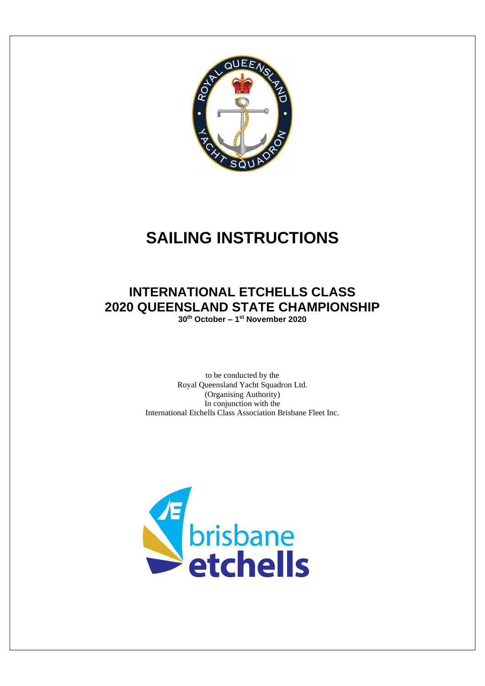

# **SAILING INSTRUCTIONS**

## **INTERNATIONAL ETCHELLS CLASS 2020 QUEENSLAND STATE CHAMPIONSHIP 30th October – 1 st November 2020**

to be conducted by the Royal Queensland Yacht Squadron Ltd. (Organising Authority) In conjunction with the International Etchells Class Association Brisbane Fleet Inc.

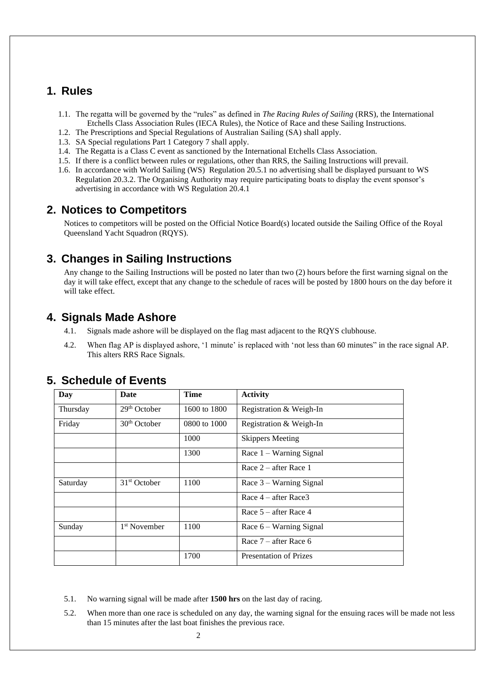#### **1. Rules**

- 1.1. The regatta will be governed by the "rules" as defined in *The Racing Rules of Sailing* (RRS), the International Etchells Class Association Rules (IECA Rules), the Notice of Race and these Sailing Instructions.
- 1.2. The Prescriptions and Special Regulations of Australian Sailing (SA) shall apply.
- 1.3. SA Special regulations Part 1 Category 7 shall apply.
- 1.4. The Regatta is a Class C event as sanctioned by the International Etchells Class Association.
- 1.5. If there is a conflict between rules or regulations, other than RRS, the Sailing Instructions will prevail.
- 1.6. In accordance with World Sailing (WS) Regulation 20.5.1 no advertising shall be displayed pursuant to WS Regulation 20.3.2. The Organising Authority may require participating boats to display the event sponsor's advertising in accordance with WS Regulation 20.4.1

#### **2. Notices to Competitors**

Notices to competitors will be posted on the Official Notice Board(s) located outside the Sailing Office of the Royal Queensland Yacht Squadron (RQYS).

#### **3. Changes in Sailing Instructions**

Any change to the Sailing Instructions will be posted no later than two (2) hours before the first warning signal on the day it will take effect, except that any change to the schedule of races will be posted by 1800 hours on the day before it will take effect.

#### **4. Signals Made Ashore**

- 4.1. Signals made ashore will be displayed on the flag mast adjacent to the RQYS clubhouse.
- 4.2. When flag AP is displayed ashore, '1 minute' is replaced with 'not less than 60 minutes" in the race signal AP. This alters RRS Race Signals.

| Day      | Date                     | <b>Time</b>  | <b>Activity</b>               |  |
|----------|--------------------------|--------------|-------------------------------|--|
| Thursday | 29 <sup>th</sup> October | 1600 to 1800 | Registration & Weigh-In       |  |
| Friday   | $30th$ October           | 0800 to 1000 | Registration & Weigh-In       |  |
|          |                          | 1000         | <b>Skippers Meeting</b>       |  |
|          |                          | 1300         | Race $1 -$ Warning Signal     |  |
|          |                          |              | Race $2$ – after Race 1       |  |
| Saturday | $31st$ October           | 1100         | Race $3$ – Warning Signal     |  |
|          |                          |              | Race $4$ – after Race 3       |  |
|          |                          |              | Race $5$ – after Race 4       |  |
| Sunday   | 1 <sup>st</sup> November | 1100         | Race $6 -$ Warning Signal     |  |
|          |                          |              | Race $7$ – after Race 6       |  |
|          |                          | 1700         | <b>Presentation of Prizes</b> |  |

#### **5. Schedule of Events**

- 5.1. No warning signal will be made after **1500 hrs** on the last day of racing.
- 5.2. When more than one race is scheduled on any day, the warning signal for the ensuing races will be made not less than 15 minutes after the last boat finishes the previous race.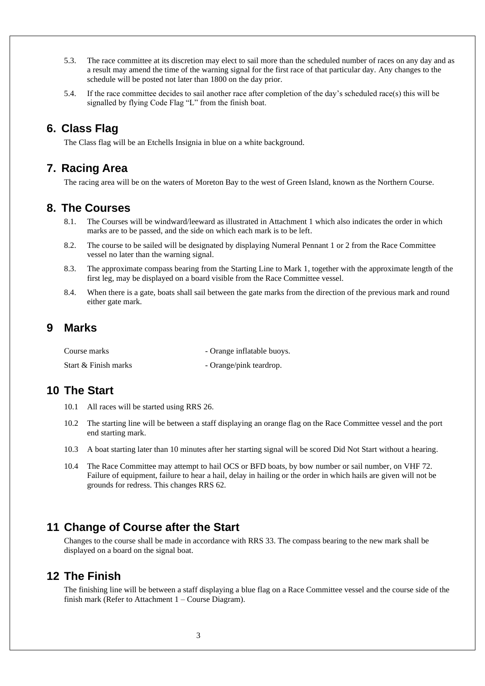- 5.3. The race committee at its discretion may elect to sail more than the scheduled number of races on any day and as a result may amend the time of the warning signal for the first race of that particular day. Any changes to the schedule will be posted not later than 1800 on the day prior.
- 5.4. If the race committee decides to sail another race after completion of the day's scheduled race(s) this will be signalled by flying Code Flag "L" from the finish boat.

#### **6. Class Flag**

The Class flag will be an Etchells Insignia in blue on a white background.

#### **7. Racing Area**

The racing area will be on the waters of Moreton Bay to the west of Green Island, known as the Northern Course.

#### **8. The Courses**

- 8.1. The Courses will be windward/leeward as illustrated in Attachment 1 which also indicates the order in which marks are to be passed, and the side on which each mark is to be left.
- 8.2. The course to be sailed will be designated by displaying Numeral Pennant 1 or 2 from the Race Committee vessel no later than the warning signal.
- 8.3. The approximate compass bearing from the Starting Line to Mark 1, together with the approximate length of the first leg, may be displayed on a board visible from the Race Committee vessel.
- 8.4. When there is a gate, boats shall sail between the gate marks from the direction of the previous mark and round either gate mark.

#### **9 Marks**

| Course marks         | - Orange inflatable buoys. |
|----------------------|----------------------------|
| Start & Finish marks | - Orange/pink teardrop.    |

#### **10 The Start**

- 10.1 All races will be started using RRS 26.
- 10.2 The starting line will be between a staff displaying an orange flag on the Race Committee vessel and the port end starting mark.
- 10.3 A boat starting later than 10 minutes after her starting signal will be scored Did Not Start without a hearing.
- 10.4 The Race Committee may attempt to hail OCS or BFD boats, by bow number or sail number, on VHF 72. Failure of equipment, failure to hear a hail, delay in hailing or the order in which hails are given will not be grounds for redress. This changes RRS 62.

#### **11 Change of Course after the Start**

Changes to the course shall be made in accordance with RRS 33. The compass bearing to the new mark shall be displayed on a board on the signal boat.

#### **12 The Finish**

The finishing line will be between a staff displaying a blue flag on a Race Committee vessel and the course side of the finish mark (Refer to Attachment 1 – Course Diagram).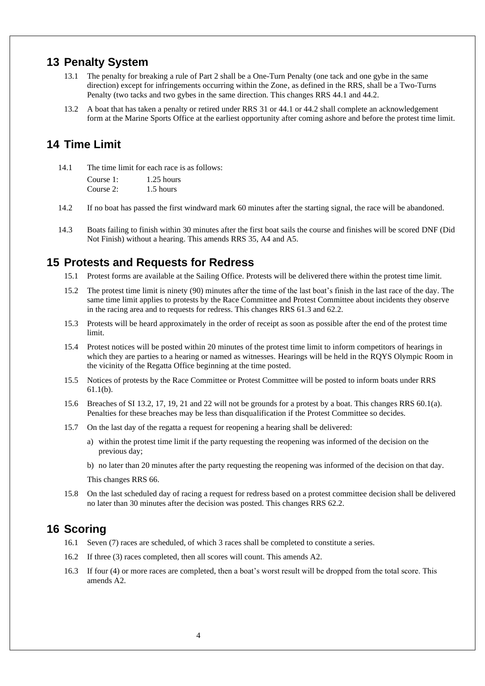#### **13 Penalty System**

- 13.1 The penalty for breaking a rule of Part 2 shall be a One-Turn Penalty (one tack and one gybe in the same direction) except for infringements occurring within the Zone, as defined in the RRS, shall be a Two-Turns Penalty (two tacks and two gybes in the same direction. This changes RRS 44.1 and 44.2.
- 13.2 A boat that has taken a penalty or retired under RRS 31 or 44.1 or 44.2 shall complete an acknowledgement form at the Marine Sports Office at the earliest opportunity after coming ashore and before the protest time limit.

## **14 Time Limit**

14.1 The time limit for each race is as follows:

| Course 1: | $1.25$ hours |
|-----------|--------------|
| Course 2: | 1.5 hours    |

- 14.2 If no boat has passed the first windward mark 60 minutes after the starting signal, the race will be abandoned.
- 14.3 Boats failing to finish within 30 minutes after the first boat sails the course and finishes will be scored DNF (Did Not Finish) without a hearing. This amends RRS 35, A4 and A5.

## **15 Protests and Requests for Redress**

- 15.1 Protest forms are available at the Sailing Office. Protests will be delivered there within the protest time limit.
- 15.2 The protest time limit is ninety (90) minutes after the time of the last boat's finish in the last race of the day. The same time limit applies to protests by the Race Committee and Protest Committee about incidents they observe in the racing area and to requests for redress. This changes RRS 61.3 and 62.2.
- 15.3 Protests will be heard approximately in the order of receipt as soon as possible after the end of the protest time limit.
- 15.4 Protest notices will be posted within 20 minutes of the protest time limit to inform competitors of hearings in which they are parties to a hearing or named as witnesses. Hearings will be held in the RQYS Olympic Room in the vicinity of the Regatta Office beginning at the time posted.
- 15.5 Notices of protests by the Race Committee or Protest Committee will be posted to inform boats under RRS 61.1(b).
- 15.6 Breaches of SI 13.2, 17, 19, 21 and 22 will not be grounds for a protest by a boat. This changes RRS 60.1(a). Penalties for these breaches may be less than disqualification if the Protest Committee so decides.
- 15.7 On the last day of the regatta a request for reopening a hearing shall be delivered:
	- a) within the protest time limit if the party requesting the reopening was informed of the decision on the previous day;
	- b) no later than 20 minutes after the party requesting the reopening was informed of the decision on that day.

This changes RRS 66.

15.8 On the last scheduled day of racing a request for redress based on a protest committee decision shall be delivered no later than 30 minutes after the decision was posted. This changes RRS 62.2.

## **16 Scoring**

- 16.1 Seven (7) races are scheduled, of which 3 races shall be completed to constitute a series.
- 16.2 If three (3) races completed, then all scores will count. This amends A2.
- 16.3 If four (4) or more races are completed, then a boat's worst result will be dropped from the total score. This amends A2.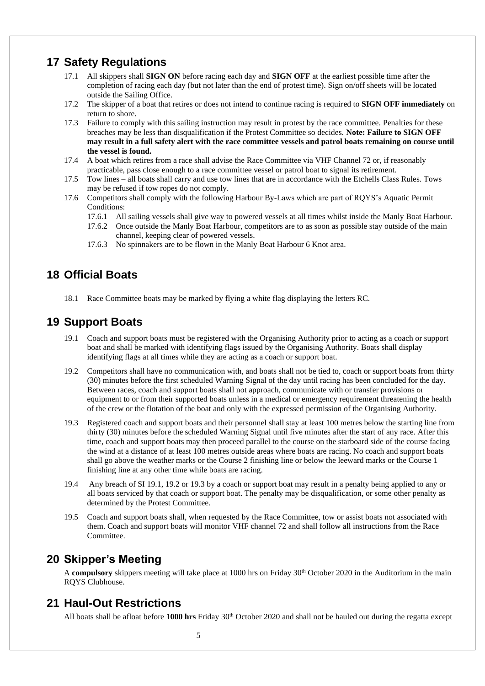#### **17 Safety Regulations**

- 17.1 All skippers shall **SIGN ON** before racing each day and **SIGN OFF** at the earliest possible time after the completion of racing each day (but not later than the end of protest time). Sign on/off sheets will be located outside the Sailing Office.
- 17.2 The skipper of a boat that retires or does not intend to continue racing is required to **SIGN OFF immediately** on return to shore.
- 17.3 Failure to comply with this sailing instruction may result in protest by the race committee. Penalties for these breaches may be less than disqualification if the Protest Committee so decides. **Note: Failure to SIGN OFF may result in a full safety alert with the race committee vessels and patrol boats remaining on course until the vessel is found.**
- 17.4 A boat which retires from a race shall advise the Race Committee via VHF Channel 72 or, if reasonably practicable, pass close enough to a race committee vessel or patrol boat to signal its retirement.
- 17.5 Tow lines all boats shall carry and use tow lines that are in accordance with the Etchells Class Rules. Tows may be refused if tow ropes do not comply.
- 17.6 Competitors shall comply with the following Harbour By-Laws which are part of RQYS's Aquatic Permit Conditions:
	- 17.6.1 All sailing vessels shall give way to powered vessels at all times whilst inside the Manly Boat Harbour.
	- 17.6.2 Once outside the Manly Boat Harbour, competitors are to as soon as possible stay outside of the main channel, keeping clear of powered vessels.
	- 17.6.3 No spinnakers are to be flown in the Manly Boat Harbour 6 Knot area.

## **18 Official Boats**

18.1 Race Committee boats may be marked by flying a white flag displaying the letters RC.

#### **19 Support Boats**

- 19.1 Coach and support boats must be registered with the Organising Authority prior to acting as a coach or support boat and shall be marked with identifying flags issued by the Organising Authority. Boats shall display identifying flags at all times while they are acting as a coach or support boat.
- 19.2 Competitors shall have no communication with, and boats shall not be tied to, coach or support boats from thirty (30) minutes before the first scheduled Warning Signal of the day until racing has been concluded for the day. Between races, coach and support boats shall not approach, communicate with or transfer provisions or equipment to or from their supported boats unless in a medical or emergency requirement threatening the health of the crew or the flotation of the boat and only with the expressed permission of the Organising Authority.
- 19.3 Registered coach and support boats and their personnel shall stay at least 100 metres below the starting line from thirty (30) minutes before the scheduled Warning Signal until five minutes after the start of any race. After this time, coach and support boats may then proceed parallel to the course on the starboard side of the course facing the wind at a distance of at least 100 metres outside areas where boats are racing. No coach and support boats shall go above the weather marks or the Course 2 finishing line or below the leeward marks or the Course 1 finishing line at any other time while boats are racing.
- 19.4 Any breach of SI 19.1, 19.2 or 19.3 by a coach or support boat may result in a penalty being applied to any or all boats serviced by that coach or support boat. The penalty may be disqualification, or some other penalty as determined by the Protest Committee.
- 19.5 Coach and support boats shall, when requested by the Race Committee, tow or assist boats not associated with them. Coach and support boats will monitor VHF channel 72 and shall follow all instructions from the Race Committee.

## **20 Skipper's Meeting**

A **compulsory** skippers meeting will take place at 1000 hrs on Friday 30<sup>th</sup> October 2020 in the Auditorium in the main RQYS Clubhouse.

#### **21 Haul-Out Restrictions**

All boats shall be afloat before **1000 hrs** Friday 30th October 2020 and shall not be hauled out during the regatta except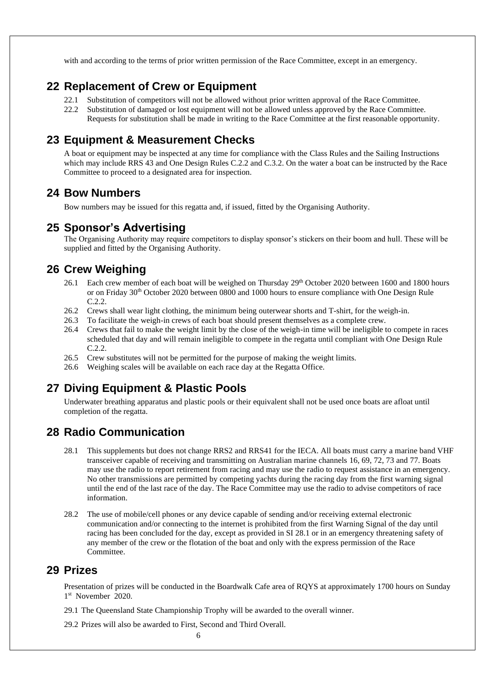with and according to the terms of prior written permission of the Race Committee, except in an emergency.

## **22 Replacement of Crew or Equipment**

- 22.1 Substitution of competitors will not be allowed without prior written approval of the Race Committee.
- 22.2 Substitution of damaged or lost equipment will not be allowed unless approved by the Race Committee. Requests for substitution shall be made in writing to the Race Committee at the first reasonable opportunity.

# **23 Equipment & Measurement Checks**

A boat or equipment may be inspected at any time for compliance with the Class Rules and the Sailing Instructions which may include RRS 43 and One Design Rules C.2.2 and C.3.2. On the water a boat can be instructed by the Race Committee to proceed to a designated area for inspection.

## **24 Bow Numbers**

Bow numbers may be issued for this regatta and, if issued, fitted by the Organising Authority.

## **25 Sponsor's Advertising**

The Organising Authority may require competitors to display sponsor's stickers on their boom and hull. These will be supplied and fitted by the Organising Authority.

# **26 Crew Weighing**

- 26.1 Each crew member of each boat will be weighed on Thursday 29<sup>th</sup> October 2020 between 1600 and 1800 hours or on Friday 30<sup>th</sup> October 2020 between 0800 and 1000 hours to ensure compliance with One Design Rule C.2.2.
- 26.2 Crews shall wear light clothing, the minimum being outerwear shorts and T-shirt, for the weigh-in.
- 26.3 To facilitate the weigh-in crews of each boat should present themselves as a complete crew.
- 26.4 Crews that fail to make the weight limit by the close of the weigh-in time will be ineligible to compete in races scheduled that day and will remain ineligible to compete in the regatta until compliant with One Design Rule C.2.2.
- 26.5 Crew substitutes will not be permitted for the purpose of making the weight limits.
- 26.6 Weighing scales will be available on each race day at the Regatta Office.

# **27 Diving Equipment & Plastic Pools**

Underwater breathing apparatus and plastic pools or their equivalent shall not be used once boats are afloat until completion of the regatta.

# **28 Radio Communication**

- 28.1 This supplements but does not change RRS2 and RRS41 for the IECA. All boats must carry a marine band VHF transceiver capable of receiving and transmitting on Australian marine channels 16, 69, 72, 73 and 77. Boats may use the radio to report retirement from racing and may use the radio to request assistance in an emergency. No other transmissions are permitted by competing yachts during the racing day from the first warning signal until the end of the last race of the day. The Race Committee may use the radio to advise competitors of race information.
- 28.2 The use of mobile/cell phones or any device capable of sending and/or receiving external electronic communication and/or connecting to the internet is prohibited from the first Warning Signal of the day until racing has been concluded for the day, except as provided in SI 28.1 or in an emergency threatening safety of any member of the crew or the flotation of the boat and only with the express permission of the Race Committee.

## **29 Prizes**

Presentation of prizes will be conducted in the Boardwalk Cafe area of RQYS at approximately 1700 hours on Sunday 1 st November 2020.

29.1 The Queensland State Championship Trophy will be awarded to the overall winner.

29.2 Prizes will also be awarded to First, Second and Third Overall.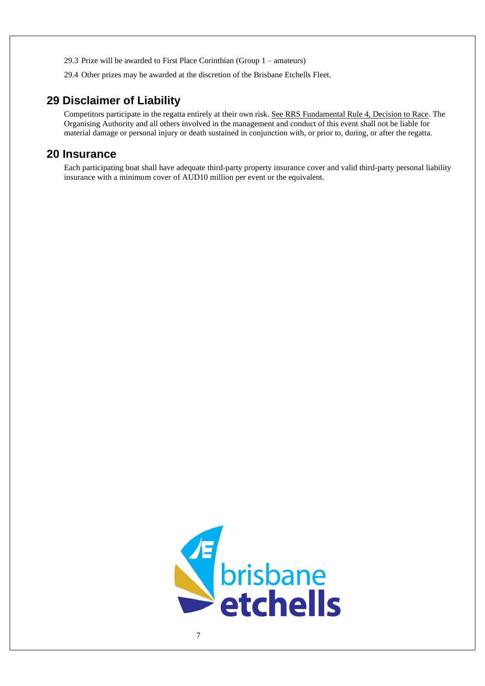- 29.3 Prize will be awarded to First Place Corinthian (Group 1 amateurs)
- 29.4 Other prizes may be awarded at the discretion of the Brisbane Etchells Fleet.

#### **29 Disclaimer of Liability**

Competitors participate in the regatta entirely at their own risk. See RRS Fundamental Rule 4, Decision to Race. The Organising Authority and all others involved in the management and conduct of this event shall not be liable for material damage or personal injury or death sustained in conjunction with, or prior to, during, or after the regatta.

#### **20 Insurance**

Each participating boat shall have adequate third-party property insurance cover and valid third-party personal liability insurance with a minimum cover of AUD10 million per event or the equivalent.